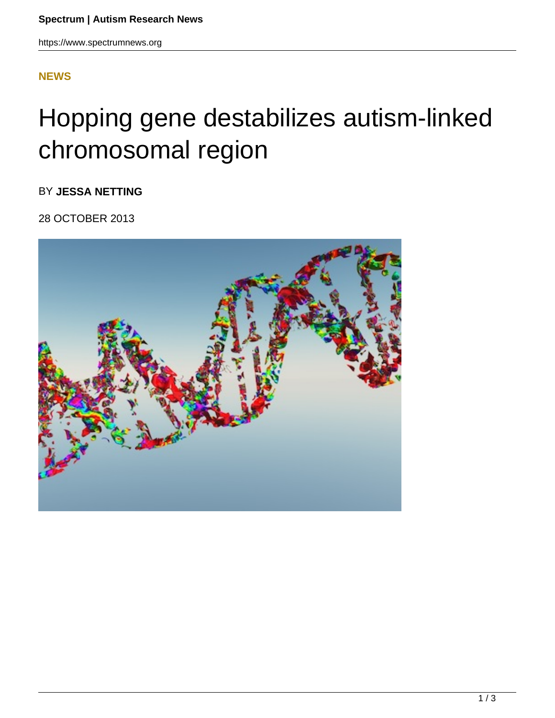## **[NEWS](HTTPS://WWW.SPECTRUMNEWS.ORG/NEWS/)**

## Hopping gene destabilizes autism-linked chromosomal region

BY **JESSA NETTING**

28 OCTOBER 2013

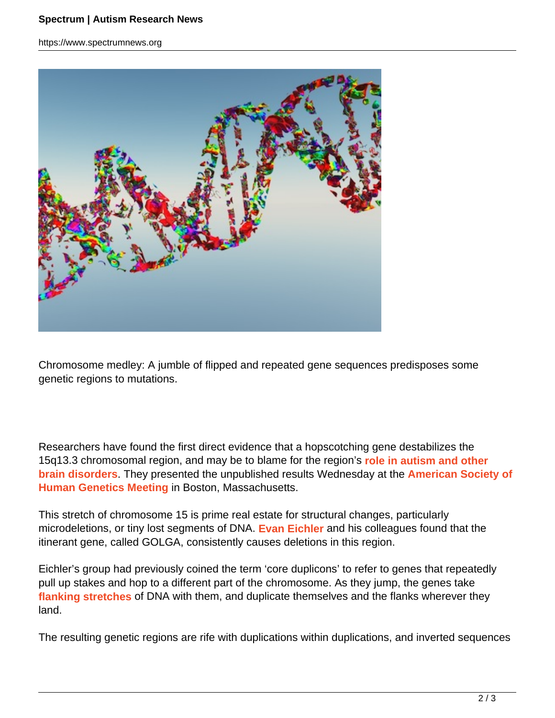https://www.spectrumnews.org



Chromosome medley: A jumble of flipped and repeated gene sequences predisposes some genetic regions to mutations.

Researchers have found the first direct evidence that a hopscotching gene destabilizes the 15q13.3 chromosomal region, and may be to blame for the region's **role in autism and other brain disorders**. They presented the unpublished results Wednesday at the **American Society of Human Genetics Meeting** in Boston, Massachusetts.

This stretch of chromosome 15 is prime real estate for structural changes, particularly microdeletions, or tiny lost segments of DNA. **Evan Eichler** and his colleagues found that the itinerant gene, called GOLGA, consistently causes deletions in this region.

Eichler's group had previously coined the term 'core duplicons' to refer to genes that repeatedly pull up stakes and hop to a different part of the chromosome. As they jump, the genes take **flanking stretches** of DNA with them, and duplicate themselves and the flanks wherever they land.

The resulting genetic regions are rife with duplications within duplications, and inverted sequences